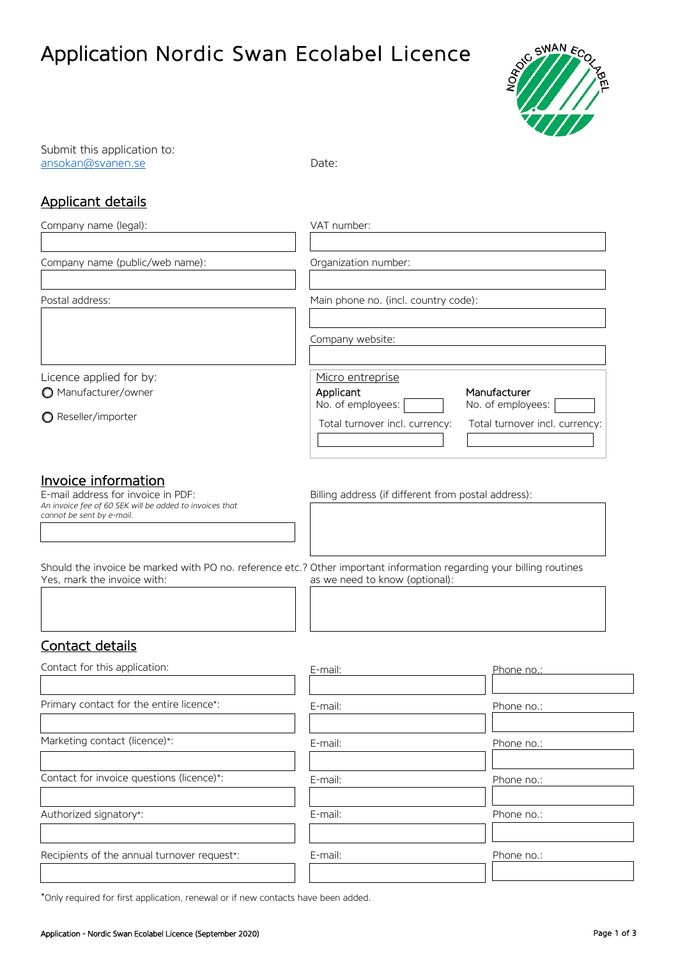# Application Nordic Swan Ecolabel Licence



Submit this application to: [ansokan@svanen.se](mailto:ansokan@svanen.se) Date:

## Applicant details

| Company name (legal):                                                                                                                                                                                                                                                                                    | VAT number:                                                                           |                                                                     |  |  |
|----------------------------------------------------------------------------------------------------------------------------------------------------------------------------------------------------------------------------------------------------------------------------------------------------------|---------------------------------------------------------------------------------------|---------------------------------------------------------------------|--|--|
| Company name (public/web name):                                                                                                                                                                                                                                                                          | Organization number:                                                                  |                                                                     |  |  |
| Postal address:                                                                                                                                                                                                                                                                                          | Main phone no. (incl. country code):                                                  |                                                                     |  |  |
|                                                                                                                                                                                                                                                                                                          | Company website:                                                                      |                                                                     |  |  |
| Licence applied for by:<br>Manufacturer/owner<br>● Reseller/importer                                                                                                                                                                                                                                     | Micro entreprise<br>Applicant<br>No. of employees:<br>Total turnover incl. currency:  | Manufacturer<br>No. of employees:<br>Total turnover incl. currency: |  |  |
| Invoice information<br>E-mail address for invoice in PDF:<br>An invoice fee of 60 SEK will be added to invoices that<br>cannot be sent by e-mail.<br>Should the invoice be marked with PO no. reference etc.? Other important information regarding your billing routines<br>Yes, mark the invoice with: | Billing address (if different from postal address):<br>as we need to know (optional): |                                                                     |  |  |
| Contact details<br>Contact for this application:                                                                                                                                                                                                                                                         | E-mail:                                                                               | Phone no.:                                                          |  |  |
|                                                                                                                                                                                                                                                                                                          |                                                                                       |                                                                     |  |  |
| Primary contact for the entire licence*:                                                                                                                                                                                                                                                                 | E-mail:                                                                               | Phone no.:                                                          |  |  |
| Marketing contact (licence)*:                                                                                                                                                                                                                                                                            | E-mail:                                                                               | Phone no.:                                                          |  |  |
| Contact for invoice questions (licence)*:                                                                                                                                                                                                                                                                | E-mail:                                                                               | Phone no.:                                                          |  |  |
| Authorized signatory*:                                                                                                                                                                                                                                                                                   | E-mail:                                                                               | Phone no.:                                                          |  |  |

| E-mail: | Phone no.: |
|---------|------------|
|         |            |
| E-mail: | Phone no.: |
|         |            |
| E-mail: | Phone no.: |
|         |            |
| E-mail: | Phone no.: |
|         |            |
|         |            |

\*Only required for first application, renewal or if new contacts have been added.

Recipients of the annual turnover request\*: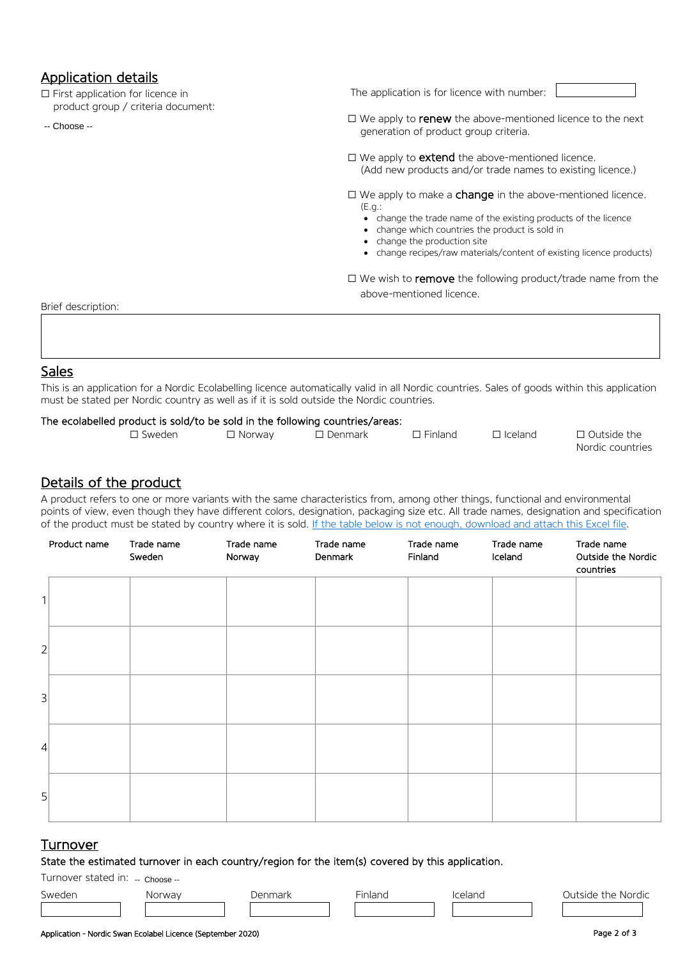## Application details

☐ First application for licence in product group / criteria document:

-- Choose --

The application is for licence with number:

□ We apply to **renew** the above-mentioned licence to the next generation of product group criteria.

□ We apply to **extend** the above-mentioned licence. (Add new products and/or trade names to existing licence.)

 $\Box$  We apply to make a **change** in the above-mentioned licence. (E.g.:

- change the trade name of the existing products of the licence
- change which countries the product is sold in
- change the production site
- change recipes/raw materials/content of existing licence products)

□ We wish to remove the following product/trade name from the above-mentioned licence.

Brief description:

### Sales

This is an application for a Nordic Ecolabelling licence automatically valid in all Nordic countries. Sales of goods within this application must be stated per Nordic country as well as if it is sold outside the Nordic countries.

#### The ecolabelled product is sold/to be sold in the following countries/areas:

| □ Sweden | ' Norway | Denmark | ᄀ Finland | 그 Iceland | 口 Outside the    |
|----------|----------|---------|-----------|-----------|------------------|
|          |          |         |           |           | Nordic countries |

#### Details of the product

A product refers to one or more variants with the same characteristics from, among other things, functional and environmental points of view, even though they have different colors, designation, packaging size etc. All trade names, designation and specification of the product must be stated by country where it is sold. [If the table below is not enough, download and attach this Excel file.](https://www.svanen.se/siteassets/ansokningsblanketter-pdfer/ansokningsblanketter-och-vagledningar/application-appendix-1-products.xlsx)

|                | Product name | Trade name<br>Sweden | Trade name<br>Norway | Trade name<br>Denmark | Trade name<br>Finland | Trade name<br>Iceland | Trade name<br>Outside the Nordic<br>countries |
|----------------|--------------|----------------------|----------------------|-----------------------|-----------------------|-----------------------|-----------------------------------------------|
| 1              |              |                      |                      |                       |                       |                       |                                               |
| $\overline{2}$ |              |                      |                      |                       |                       |                       |                                               |
| 3              |              |                      |                      |                       |                       |                       |                                               |
| $\overline{4}$ |              |                      |                      |                       |                       |                       |                                               |
| 5              |              |                      |                      |                       |                       |                       |                                               |

#### **Turnover**

State the estimated turnover in each country/region for the item(s) covered by this application.

#### Turnover stated in: -- Choose --

Sweden Norway Denmark Finland Iceland Outside the Nordic

countries